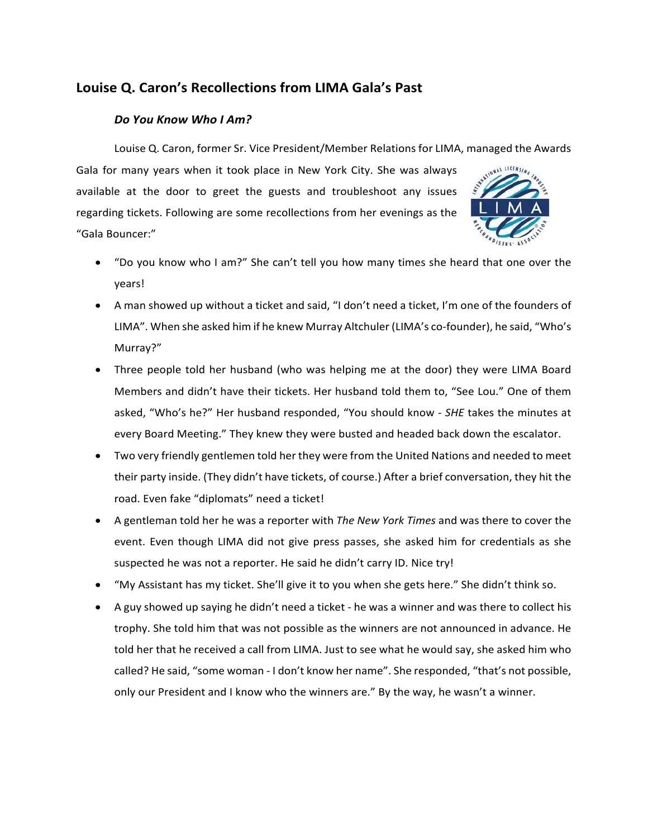## **Louise Q. Caron's Recollections from LIMA Gala's Past**

## *Do You Know Who I Am?*

Louise Q. Caron, former Sr. Vice President/Member Relations for LIMA, managed the Awards

Gala for many years when it took place in New York City. She was always available at the door to greet the guests and troubleshoot any issues regarding tickets. Following are some recollections from her evenings as the "Gala Bouncer:"



- "Do you know who I am?" She can't tell you how many times she heard that one over the years!
- A man showed up without a ticket and said, "I don't need a ticket, I'm one of the founders of LIMA". When she asked him if he knew Murray Altchuler (LIMA's co-founder), he said, "Who's Murray?"
- Three people told her husband (who was helping me at the door) they were LIMA Board Members and didn't have their tickets. Her husband told them to, "See Lou." One of them asked, "Who's he?" Her husband responded, "You should know - *SHE* takes the minutes at every Board Meeting." They knew they were busted and headed back down the escalator.
- Two very friendly gentlemen told her they were from the United Nations and needed to meet their party inside. (They didn't have tickets, of course.) After a brief conversation, they hit the road. Even fake "diplomats" need a ticket!
- A gentleman told her he was a reporter with *The New York Times* and was there to cover the event. Even though LIMA did not give press passes, she asked him for credentials as she suspected he was not a reporter. He said he didn't carry ID. Nice try!
- "My Assistant has my ticket. She'll give it to you when she gets here." She didn't think so.
- A guy showed up saying he didn't need a ticket he was a winner and was there to collect his trophy. She told him that was not possible as the winners are not announced in advance. He told her that he received a call from LIMA. Just to see what he would say, she asked him who called? He said, "some woman - I don't know her name". She responded, "that's not possible, only our President and I know who the winners are." By the way, he wasn't a winner.